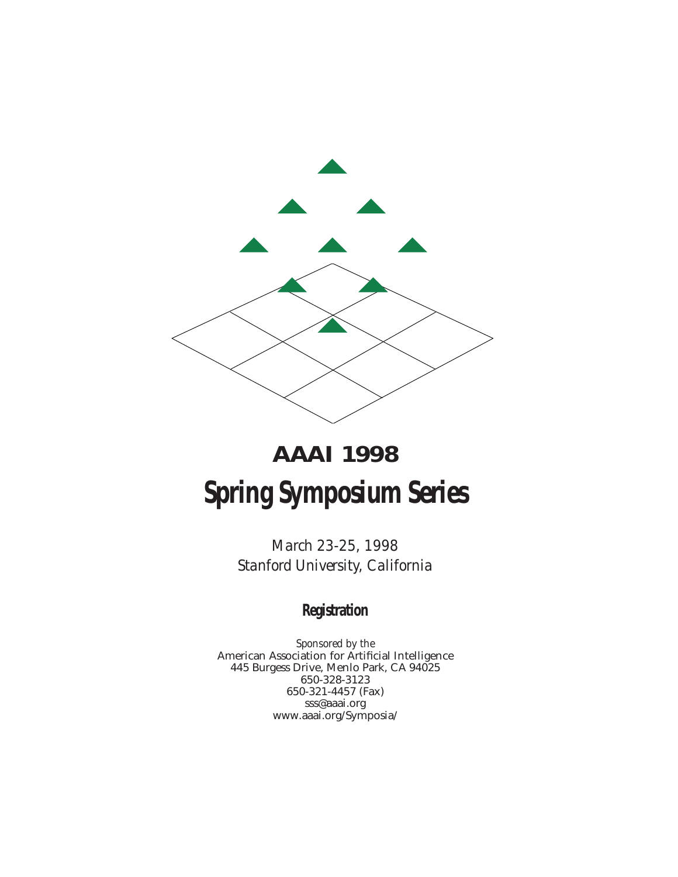

# **AAAI 1998 Spring Symposium Series**

*March 23-25, 1998 Stanford University, California*

### **Registration**

*Sponsored by the* American Association for Artificial Intelligence 445 Burgess Drive, Menlo Park, CA 94025 650-328-3123 650-321-4457 (Fax) sss@aaai.org www.aaai.org/Symposia/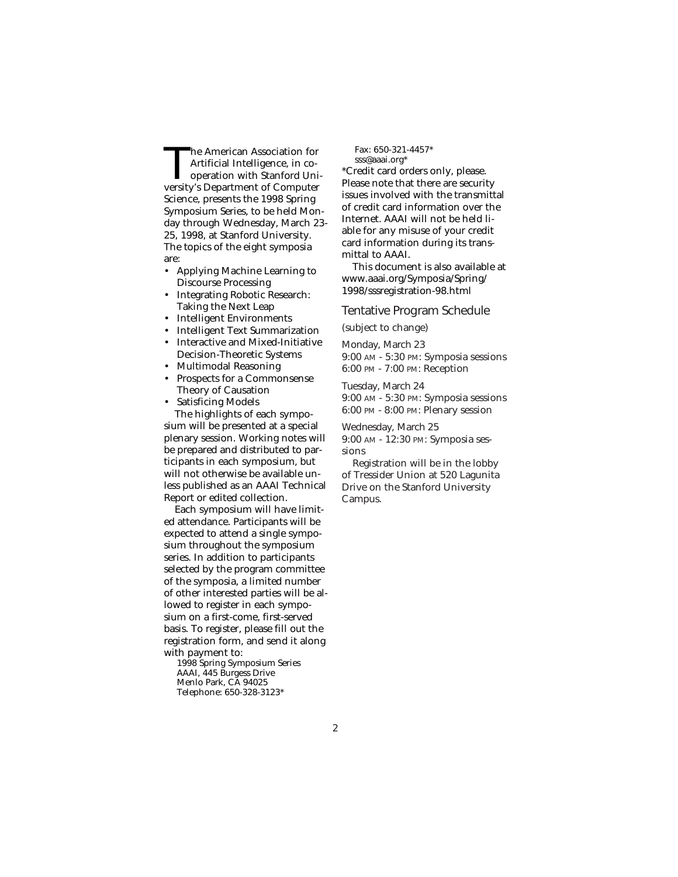The American Association for Artificial Intelligence, in cooperation with Stanford University's Department of Computer Science, presents the 1998 Spring Symposium Series, to be held Monday through Wednesday, March 23- 25, 1998, at Stanford University. The topics of the eight symposia are:

- Applying Machine Learning to Discourse Processing
- Integrating Robotic Research: Taking the Next Leap
- Intelligent Environments
- Intelligent Text Summarization
- Interactive and Mixed-Initiative Decision-Theoretic Systems
- Multimodal Reasoning
- Prospects for a Commonsense Theory of Causation
- Satisficing Models The highlights of each sympo-

sium will be presented at a special plenary session. Working notes will be prepared and distributed to participants in each symposium, but will not otherwise be available unless published as an AAAI Technical Report or edited collection.

Each symposium will have limited attendance. Participants will be expected to attend a single symposium throughout the symposium series. In addition to participants selected by the program committee of the symposia, a limited number of other interested parties will be allowed to register in each symposium on a first-come, first-served basis. To register, please fill out the registration form, and send it along with payment to:

1998 Spring Symposium Series AAAI, 445 Burgess Drive Menlo Park, CA 94025 Telephone: 650-328-3123\*

Fax: 650-321-4457\* sss@aaai.org\*

\*Credit card orders only, please. Please note that there are security issues involved with the transmittal of credit card information over the Internet. AAAI will not be held liable for any misuse of your credit card information during its transmittal to AAAI.

This document is also available at www.aaai.org/Symposia/Spring/ 1998/sssregistration-98.html

### Tentative Program Schedule

(subject to change)

Monday, March 23 9:00 AM - 5:30 PM: Symposia sessions 6:00 PM - 7:00 PM: Reception

Tuesday, March 24 9:00 AM - 5:30 PM: Symposia sessions 6:00 PM - 8:00 PM: Plenary session

Wednesday, March 25 9:00 AM - 12:30 PM: Symposia sessions

Registration will be in the lobby of Tressider Union at 520 Lagunita Drive on the Stanford University Campus.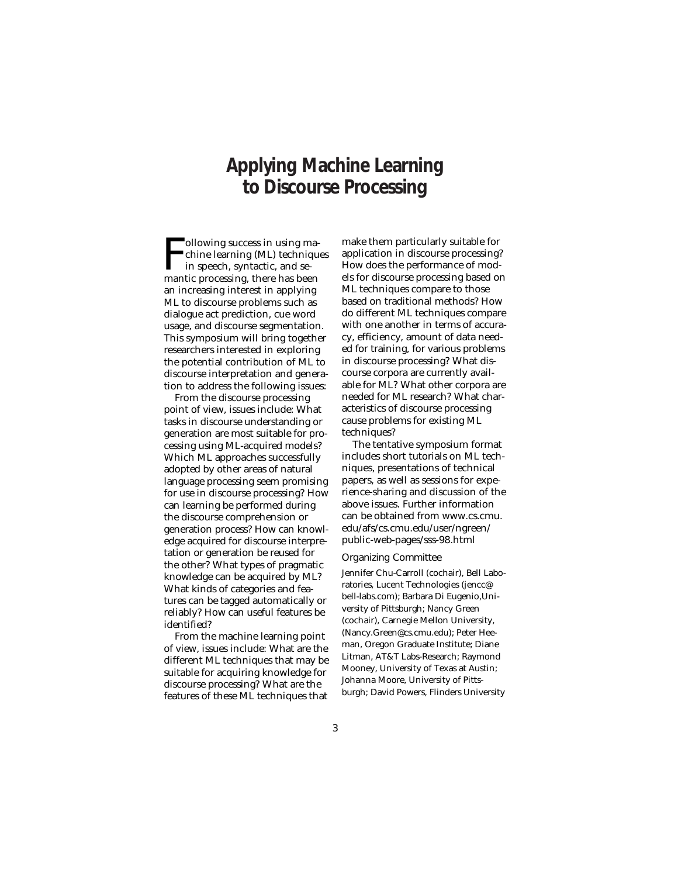### **Applying Machine Learning to Discourse Processing**

F<sub>man</sub> **Tollowing success in using ma**chine learning (ML) techniques in speech, syntactic, and semantic processing, there has been an increasing interest in applying ML to discourse problems such as dialogue act prediction, cue word usage, and discourse segmentation. This symposium will bring together researchers interested in exploring the potential contribution of ML to discourse interpretation and generation to address the following issues:

From the discourse processing point of view, issues include: What tasks in discourse understanding or generation are most suitable for processing using ML-acquired models? Which ML approaches successfully adopted by other areas of natural language processing seem promising for use in discourse processing? How can learning be performed during the discourse comprehension or generation process? How can knowledge acquired for discourse interpretation or generation be reused for the other? What types of pragmatic knowledge can be acquired by ML? What kinds of categories and features can be tagged automatically or reliably? How can useful features be identified?

From the machine learning point of view, issues include: What are the different ML techniques that may be suitable for acquiring knowledge for discourse processing? What are the features of these ML techniques that

make them particularly suitable for application in discourse processing? How does the performance of models for discourse processing based on ML techniques compare to those based on traditional methods? How do different ML techniques compare with one another in terms of accuracy, efficiency, amount of data needed for training, for various problems in discourse processing? What discourse corpora are currently available for ML? What other corpora are needed for ML research? What characteristics of discourse processing cause problems for existing ML techniques?

The tentative symposium format includes short tutorials on ML techniques, presentations of technical papers, as well as sessions for experience-sharing and discussion of the above issues. Further information can be obtained from www.cs.cmu. edu/afs/cs.cmu.edu/user/ngreen/ public-web-pages/sss-98.html

#### Organizing Committee

Jennifer Chu-Carroll (cochair), Bell Laboratories, Lucent Technologies (jencc@ bell-labs.com); Barbara Di Eugenio,University of Pittsburgh; Nancy Green (cochair), Carnegie Mellon University, (Nancy.Green@cs.cmu.edu); Peter Heeman, Oregon Graduate Institute; Diane Litman, AT&T Labs-Research; Raymond Mooney, University of Texas at Austin; Johanna Moore, University of Pittsburgh; David Powers, Flinders University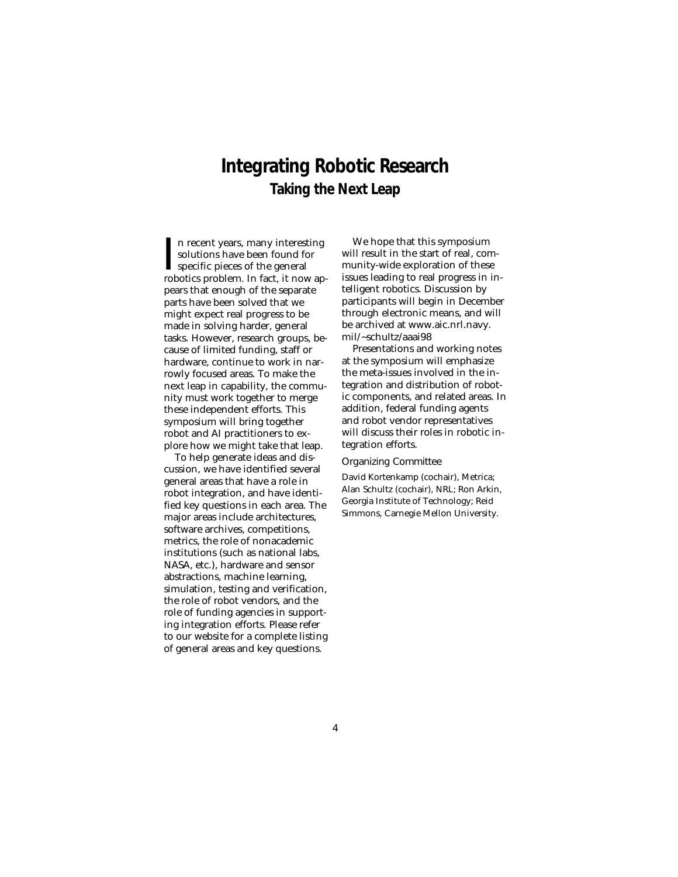### **Integrating Robotic Research Taking the Next Leap**

I<sub>rob</sub> n recent years, many interesting solutions have been found for specific pieces of the general robotics problem. In fact, it now appears that enough of the separate parts have been solved that we might expect real progress to be made in solving harder, general tasks. However, research groups, because of limited funding, staff or hardware, continue to work in narrowly focused areas. To make the next leap in capability, the community must work together to merge these independent efforts. This symposium will bring together robot and AI practitioners to explore how we might take that leap.

To help generate ideas and discussion, we have identified several general areas that have a role in robot integration, and have identified key questions in each area. The major areas include architectures, software archives, competitions, metrics, the role of nonacademic institutions (such as national labs, NASA, etc.), hardware and sensor abstractions, machine learning, simulation, testing and verification, the role of robot vendors, and the role of funding agencies in supporting integration efforts. Please refer to our website for a complete listing of general areas and key questions.

We hope that this symposium will result in the start of real, community-wide exploration of these issues leading to real progress in intelligent robotics. Discussion by participants will begin in December through electronic means, and will be archived at www.aic.nrl.navy. mil/~schultz/aaai98

Presentations and working notes at the symposium will emphasize the meta-issues involved in the integration and distribution of robotic components, and related areas. In addition, federal funding agents and robot vendor representatives will discuss their roles in robotic integration efforts.

Organizing Committee

David Kortenkamp (cochair), Metrica; Alan Schultz (cochair), NRL; Ron Arkin, Georgia Institute of Technology; Reid Simmons, Carnegie Mellon University.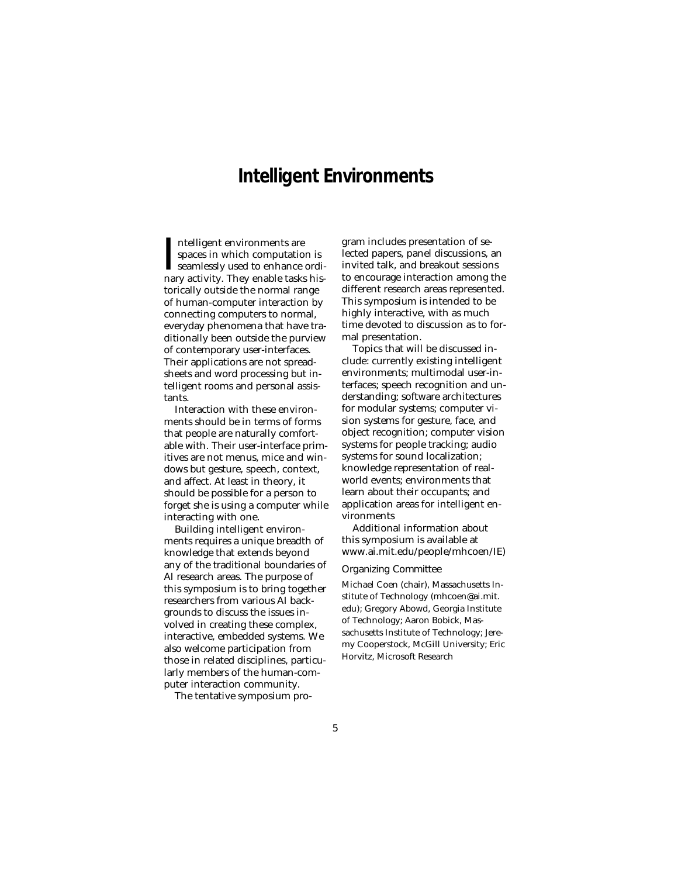### **Intelligent Environments**

Intelligent environments are<br>spaces in which computation is<br>seamlessly used to enhance ordinary activity. They enable tasks hisntelligent environments are spaces in which computation is seamlessly used to enhance orditorically outside the normal range of human-computer interaction by connecting computers to normal, everyday phenomena that have traditionally been outside the purview of contemporary user-interfaces. Their applications are not spreadsheets and word processing but intelligent rooms and personal assistants.

Interaction with these environments should be in terms of forms that people are naturally comfortable with. Their user-interface primitives are not menus, mice and windows but gesture, speech, context, and affect. At least in theory, it should be possible for a person to forget she is using a computer while interacting with one.

Building intelligent environments requires a unique breadth of knowledge that extends beyond any of the traditional boundaries of AI research areas. The purpose of this symposium is to bring together researchers from various AI backgrounds to discuss the issues involved in creating these complex, interactive, embedded systems. We also welcome participation from those in related disciplines, particularly members of the human-computer interaction community.

The tentative symposium pro-

gram includes presentation of selected papers, panel discussions, an invited talk, and breakout sessions to encourage interaction among the different research areas represented. This symposium is intended to be highly interactive, with as much time devoted to discussion as to formal presentation.

Topics that will be discussed include: currently existing intelligent environments; multimodal user-interfaces; speech recognition and understanding; software architectures for modular systems; computer vision systems for gesture, face, and object recognition; computer vision systems for people tracking; audio systems for sound localization; knowledge representation of realworld events; environments that learn about their occupants; and application areas for intelligent environments

Additional information about this symposium is available at www.ai.mit.edu/people/mhcoen/IE)

#### Organizing Committee

Michael Coen (chair), Massachusetts Institute of Technology (mhcoen@ai.mit. edu); Gregory Abowd, Georgia Institute of Technology; Aaron Bobick, Massachusetts Institute of Technology; Jeremy Cooperstock, McGill University; Eric Horvitz, Microsoft Research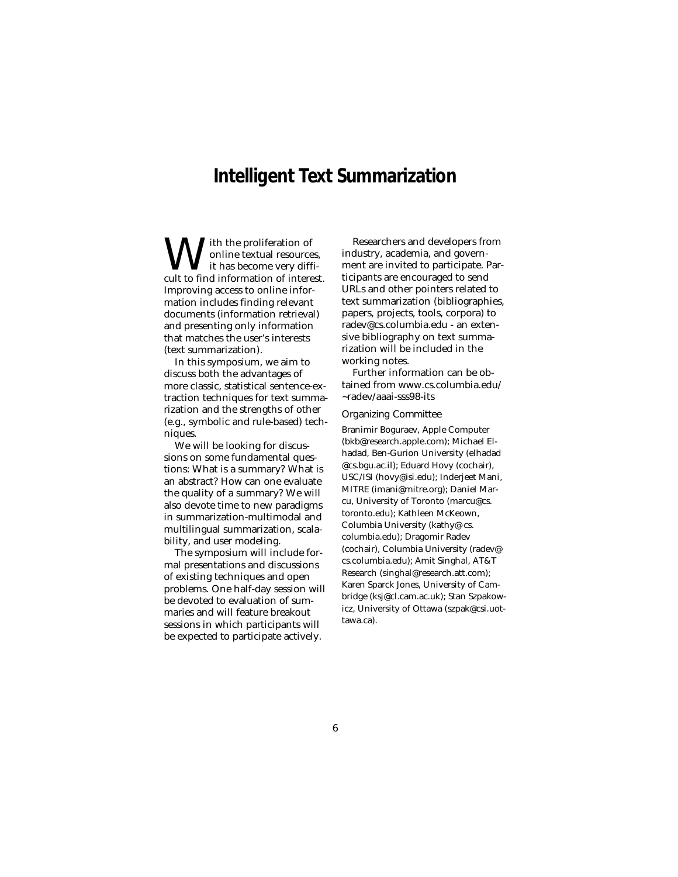### **Intelligent Text Summarization**

With the proliferation of<br>
it has become very difficult to find information of interest. online textual resources, it has become very diffi-Improving access to online information includes finding relevant documents (information retrieval) and presenting only information that matches the user's interests (text summarization).

In this symposium, we aim to discuss both the advantages of more classic, statistical sentence-extraction techniques for text summarization and the strengths of other (e.g., symbolic and rule-based) techniques.

We will be looking for discussions on some fundamental questions: What is a summary? What is an abstract? How can one evaluate the quality of a summary? We will also devote time to new paradigms in summarization-multimodal and multilingual summarization, scalability, and user modeling.

The symposium will include formal presentations and discussions of existing techniques and open problems. One half-day session will be devoted to evaluation of summaries and will feature breakout sessions in which participants will be expected to participate actively.

Researchers and developers from industry, academia, and government are invited to participate. Participants are encouraged to send URLs and other pointers related to text summarization (bibliographies, papers, projects, tools, corpora) to radev@cs.columbia.edu - an extensive bibliography on text summarization will be included in the working notes.

Further information can be obtained from www.cs.columbia.edu/ ~radev/aaai-sss98-its

#### Organizing Committee

Branimir Boguraev, Apple Computer (bkb@research.apple.com); Michael Elhadad, Ben-Gurion University (elhadad @cs.bgu.ac.il); Eduard Hovy (cochair), USC/ISI (hovy@isi.edu); Inderjeet Mani, MITRE (imani@mitre.org); Daniel Marcu, University of Toronto (marcu@cs. toronto.edu); Kathleen McKeown, Columbia University (kathy@ cs. columbia.edu); Dragomir Radev (cochair), Columbia University (radev@ cs.columbia.edu); Amit Singhal, AT&T Research (singhal@research.att.com); Karen Sparck Jones, University of Cambridge (ksj@cl.cam.ac.uk); Stan Szpakowicz, University of Ottawa (szpak@csi.uottawa.ca).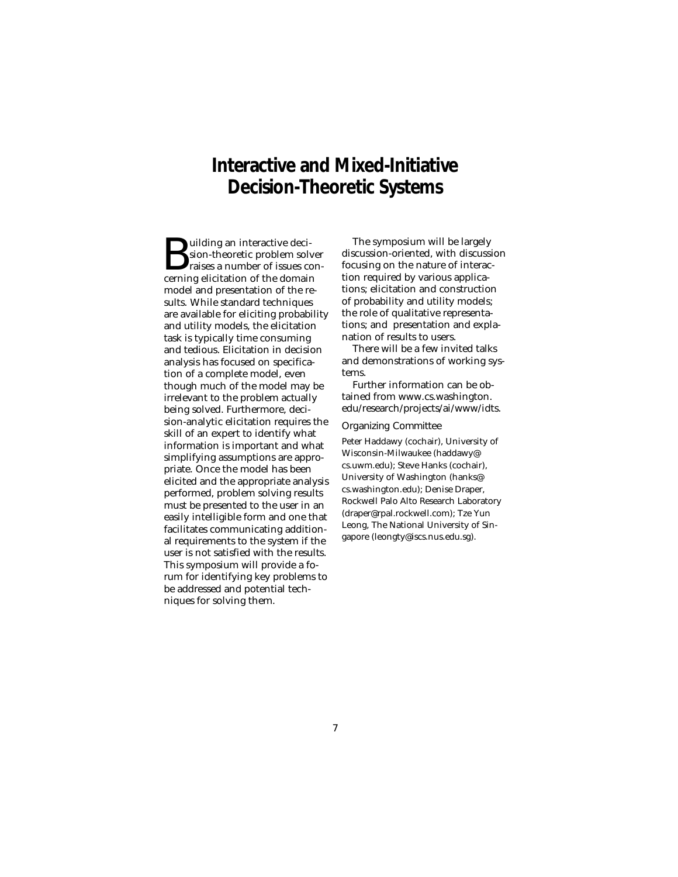### **Interactive and Mixed-Initiative Decision-Theoretic Systems**

**Building an interactive deci-**<br>sion-theoretic problem solver<br>raises a number of issues con-<br>cerning elicitation of the domain sion-theoretic problem solver cerning elicitation of the domain model and presentation of the results. While standard techniques are available for eliciting probability and utility models, the elicitation task is typically time consuming and tedious. Elicitation in decision analysis has focused on specification of a complete model, even though much of the model may be irrelevant to the problem actually being solved. Furthermore, decision-analytic elicitation requires the skill of an expert to identify what information is important and what simplifying assumptions are appropriate. Once the model has been elicited and the appropriate analysis performed, problem solving results must be presented to the user in an easily intelligible form and one that facilitates communicating additional requirements to the system if the user is not satisfied with the results. This symposium will provide a forum for identifying key problems to be addressed and potential techniques for solving them.

The symposium will be largely discussion-oriented, with discussion focusing on the nature of interaction required by various applications; elicitation and construction of probability and utility models; the role of qualitative representations; and presentation and explanation of results to users.

There will be a few invited talks and demonstrations of working systems.

Further information can be obtained from www.cs.washington. edu/research/projects/ai/www/idts.

#### Organizing Committee

Peter Haddawy (cochair), University of Wisconsin-Milwaukee (haddawy@ cs.uwm.edu); Steve Hanks (cochair), University of Washington (hanks@ cs.washington.edu); Denise Draper, Rockwell Palo Alto Research Laboratory (draper@rpal.rockwell.com); Tze Yun Leong, The National University of Singapore (leongty@iscs.nus.edu.sg).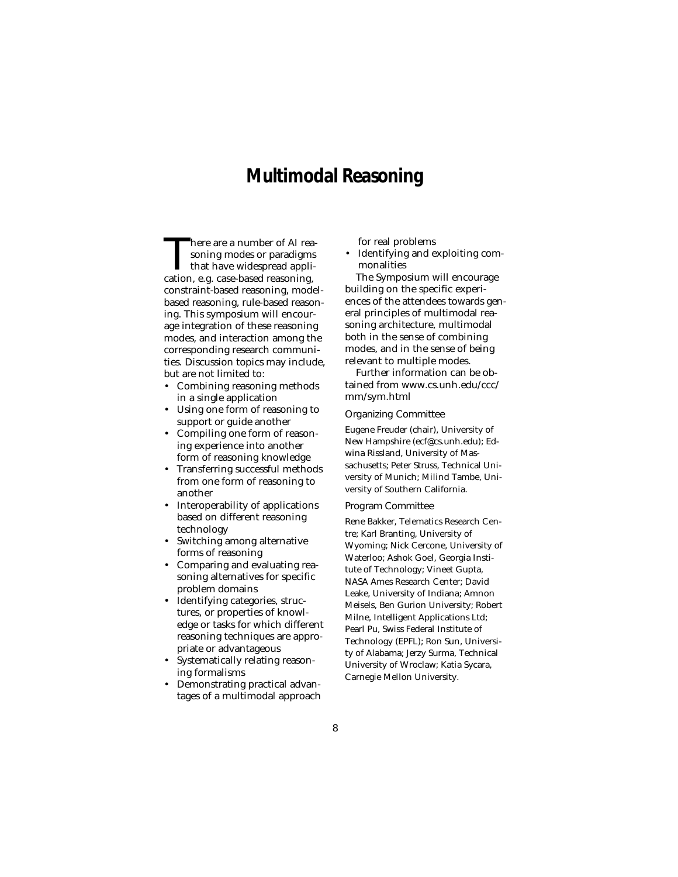### **Multimodal Reasoning**

There are a number of AI reasoning modes or paradigms<br>that have widespread application. e.g. case-based reasoning. soning modes or paradigms that have widespread application, e.g. case-based reasoning, constraint-based reasoning, modelbased reasoning, rule-based reasoning. This symposium will encourage integration of these reasoning modes, and interaction among the corresponding research communities. Discussion topics may include, but are not limited to:

- Combining reasoning methods in a single application
- Using one form of reasoning to support or guide another
- Compiling one form of reasoning experience into another form of reasoning knowledge
- Transferring successful methods from one form of reasoning to another
- Interoperability of applications based on different reasoning technology
- Switching among alternative forms of reasoning
- Comparing and evaluating reasoning alternatives for specific problem domains
- Identifying categories, structures, or properties of knowledge or tasks for which different reasoning techniques are appropriate or advantageous
- Systematically relating reasoning formalisms
- Demonstrating practical advantages of a multimodal approach

for real problems

• Identifying and exploiting commonalities

The Symposium will encourage building on the specific experiences of the attendees towards general principles of multimodal reasoning architecture, multimodal both in the sense of combining modes, and in the sense of being relevant to multiple modes.

Further information can be obtained from www.cs.unh.edu/ccc/ mm/sym.html

#### Organizing Committee

Eugene Freuder (chair), University of New Hampshire (ecf@cs.unh.edu); Edwina Rissland, University of Massachusetts; Peter Struss, Technical University of Munich; Milind Tambe, University of Southern California.

### Program Committee

Rene Bakker, Telematics Research Centre; Karl Branting, University of Wyoming; Nick Cercone, University of Waterloo; Ashok Goel, Georgia Institute of Technology; Vineet Gupta, NASA Ames Research Center; David Leake, University of Indiana; Amnon Meisels, Ben Gurion University; Robert Milne, Intelligent Applications Ltd; Pearl Pu, Swiss Federal Institute of Technology (EPFL); Ron Sun, University of Alabama; Jerzy Surma, Technical University of Wroclaw; Katia Sycara, Carnegie Mellon University.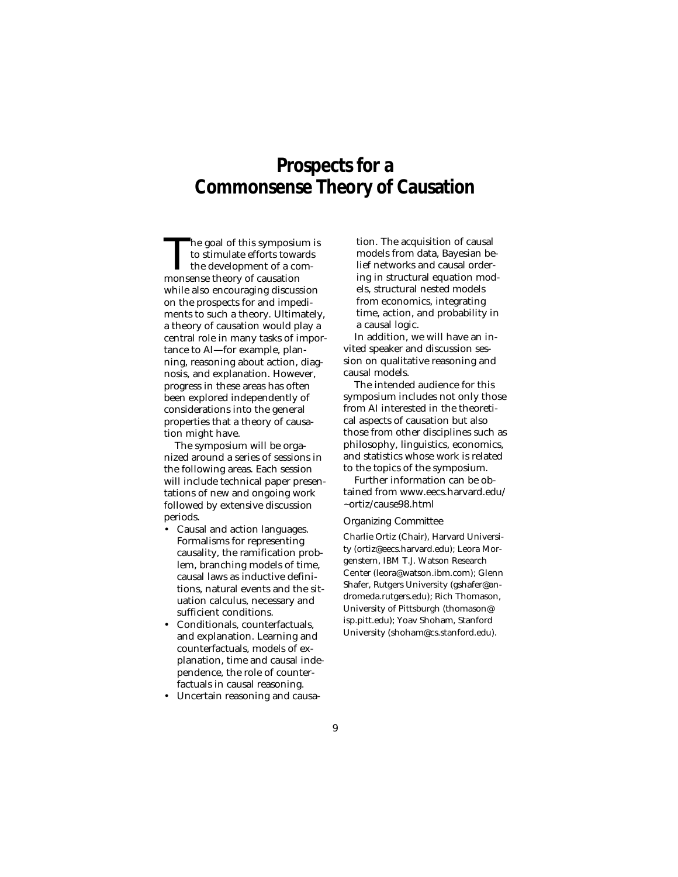### **Prospects for a Commonsense Theory of Causation**

The goal of this symposium is<br>to stimulate efforts towards<br>the development of a com-<br>monsense theory of causation to stimulate efforts towards  $\mathsf{L}\,$  the development of a commonsense theory of causation while also encouraging discussion on the prospects for and impediments to such a theory. Ultimately, a theory of causation would play a central role in many tasks of importance to AI—for example, planning, reasoning about action, diagnosis, and explanation. However, progress in these areas has often been explored independently of considerations into the general properties that a theory of causation might have.

The symposium will be organized around a series of sessions in the following areas. Each session will include technical paper presentations of new and ongoing work followed by extensive discussion periods.

- Causal and action languages. Formalisms for representing causality, the ramification problem, branching models of time, causal laws as inductive definitions, natural events and the situation calculus, necessary and sufficient conditions.
- Conditionals, counterfactuals, and explanation. Learning and counterfactuals, models of explanation, time and causal independence, the role of counterfactuals in causal reasoning.
- Uncertain reasoning and causa-

tion. The acquisition of causal models from data, Bayesian belief networks and causal ordering in structural equation models, structural nested models from economics, integrating time, action, and probability in a causal logic.

In addition, we will have an invited speaker and discussion session on qualitative reasoning and causal models.

The intended audience for this symposium includes not only those from AI interested in the theoretical aspects of causation but also those from other disciplines such as philosophy, linguistics, economics, and statistics whose work is related to the topics of the symposium.

Further information can be obtained from www.eecs.harvard.edu/ ~ortiz/cause98.html

#### Organizing Committee

Charlie Ortiz (Chair), Harvard University (ortiz@eecs.harvard.edu); Leora Morgenstern, IBM T.J. Watson Research Center (leora@watson.ibm.com); Glenn Shafer, Rutgers University (gshafer@andromeda.rutgers.edu); Rich Thomason, University of Pittsburgh (thomason@ isp.pitt.edu); Yoav Shoham, Stanford University (shoham@cs.stanford.edu).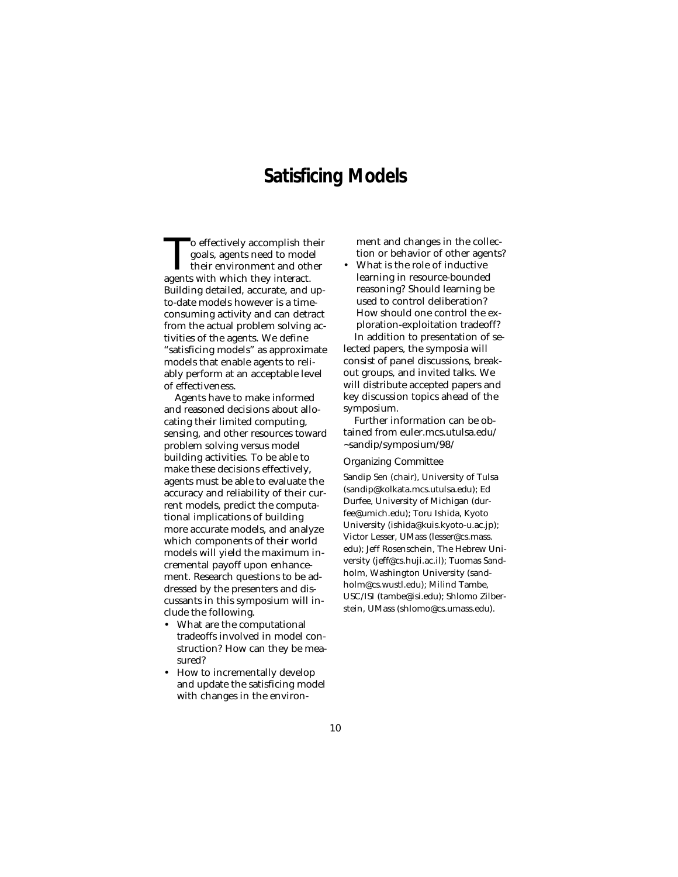### **Satisficing Models**

To effectively accomplish their<br>goals, agents need to model<br>their environment and other<br>agents with which they interact. goals, agents need to model their environment and other agents with which they interact. Building detailed, accurate, and upto-date models however is a timeconsuming activity and can detract from the actual problem solving activities of the agents. We define "satisficing models" as approximate models that enable agents to reliably perform at an acceptable level of effectiveness.

Agents have to make informed and reasoned decisions about allocating their limited computing, sensing, and other resources toward problem solving versus model building activities. To be able to make these decisions effectively, agents must be able to evaluate the accuracy and reliability of their current models, predict the computational implications of building more accurate models, and analyze which components of their world models will yield the maximum incremental payoff upon enhancement. Research questions to be addressed by the presenters and discussants in this symposium will include the following.

- What are the computational tradeoffs involved in model construction? How can they be measured?
- How to incrementally develop and update the satisficing model with changes in the environ-

ment and changes in the collection or behavior of other agents?

• What is the role of inductive learning in resource-bounded reasoning? Should learning be used to control deliberation? How should one control the exploration-exploitation tradeoff? In addition to presentation of selected papers, the symposia will consist of panel discussions, breakout groups, and invited talks. We will distribute accepted papers and key discussion topics ahead of the symposium.

Further information can be obtained from euler.mcs.utulsa.edu/ ~sandip/symposium/98/

Organizing Committee

Sandip Sen (chair), University of Tulsa (sandip@kolkata.mcs.utulsa.edu); Ed Durfee, University of Michigan (durfee@umich.edu); Toru Ishida, Kyoto University (ishida@kuis.kyoto-u.ac.jp); Victor Lesser, UMass (lesser@cs.mass. edu); Jeff Rosenschein, The Hebrew University (jeff@cs.huji.ac.il); Tuomas Sandholm, Washington University (sandholm@cs.wustl.edu); Milind Tambe, USC/ISI (tambe@isi.edu); Shlomo Zilberstein, UMass (shlomo@cs.umass.edu).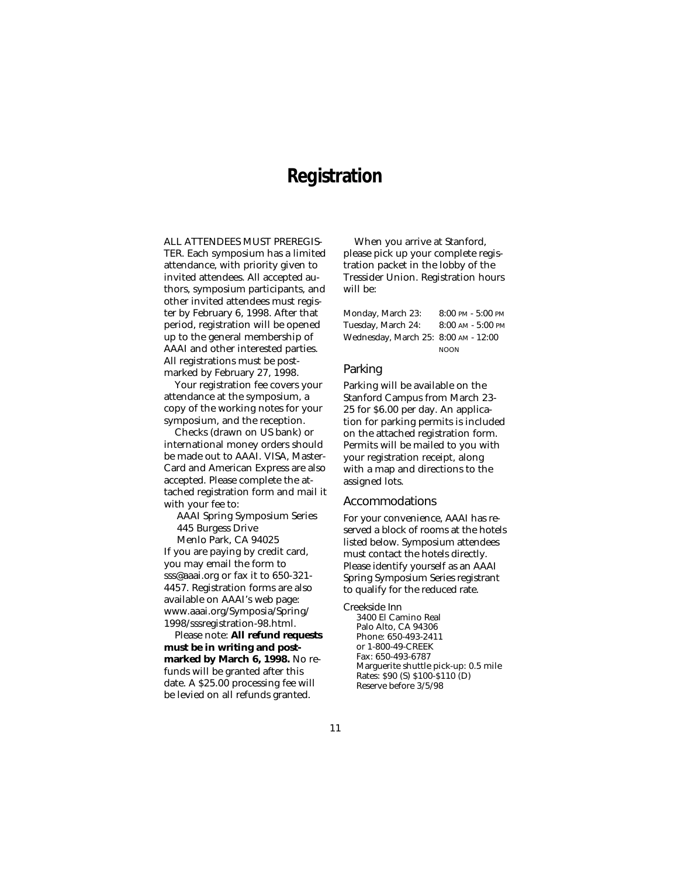### **Registration**

ALL ATTENDEES MUST PREREGIS-TER. Each symposium has a limited attendance, with priority given to invited attendees. All accepted authors, symposium participants, and other invited attendees must register by February 6, 1998. After that period, registration will be opened up to the general membership of AAAI and other interested parties. All registrations must be postmarked by February 27, 1998.

Your registration fee covers your attendance at the symposium, a copy of the working notes for your symposium, and the reception.

Checks (drawn on US bank) or international money orders should be made out to AAAI. VISA, Master-Card and American Express are also accepted. Please complete the attached registration form and mail it with your fee to:

AAAI Spring Symposium Series 445 Burgess Drive

Menlo Park, CA 94025

If you are paying by credit card, you may email the form to sss@aaai.org or fax it to 650-321- 4457. Registration forms are also available on AAAI's web page: www.aaai.org/Symposia/Spring/ 1998/sssregistration-98.html.

Please note: **All refund requests must be in writing and postmarked by March 6, 1998.** No refunds will be granted after this date. A \$25.00 processing fee will be levied on all refunds granted.

When you arrive at Stanford, please pick up your complete registration packet in the lobby of the Tressider Union. Registration hours will be:

| Monday, March 23:                    | $8:00$ PM - $5:00$ PM |
|--------------------------------------|-----------------------|
| Tuesday, March 24:                   | $8:00$ AM - $5:00$ PM |
| Wednesday, March 25: 8:00 AM - 12:00 |                       |
|                                      | <b>NOON</b>           |

### Parking

Parking will be available on the Stanford Campus from March 23- 25 for \$6.00 per day. An application for parking permits is included on the attached registration form. Permits will be mailed to you with your registration receipt, along with a map and directions to the assigned lots.

#### Accommodations

For your convenience, AAAI has reserved a block of rooms at the hotels listed below. Symposium attendees must contact the hotels directly. Please identify yourself as an AAAI Spring Symposium Series registrant to qualify for the reduced rate.

Creekside Inn

3400 El Camino Real Palo Alto, CA 94306 Phone: 650-493-2411 or 1-800-49-CREEK Fax: 650-493-6787 Marguerite shuttle pick-up: 0.5 mile Rates: \$90 (S) \$100-\$110 (D) Reserve before 3/5/98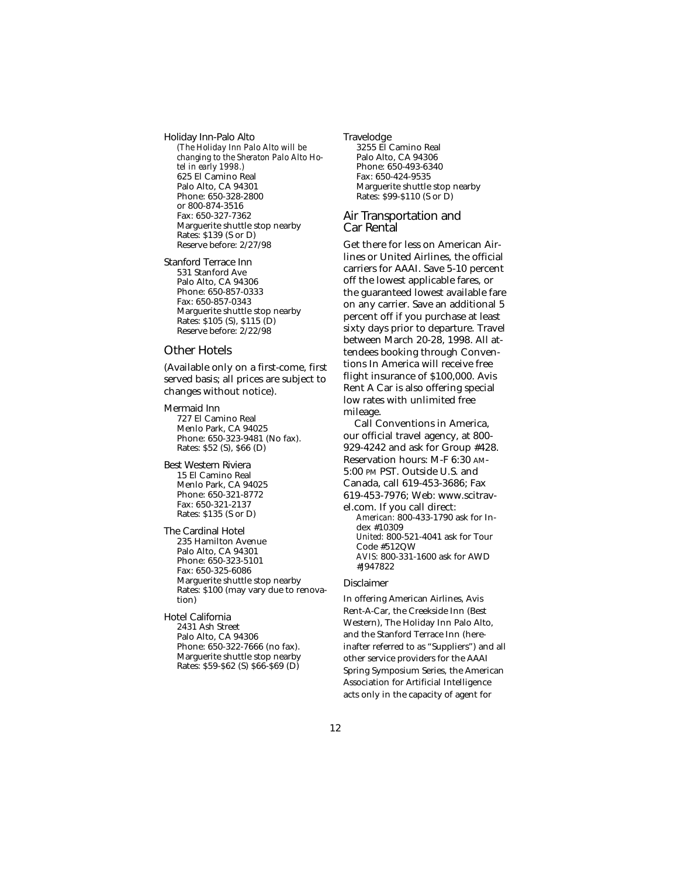Holiday Inn-Palo Alto *(The Holiday Inn Palo Alto will be changing to the Sheraton Palo Alto Hotel in early 1998.)* 625 El Camino Real Palo Alto, CA 94301 Phone: 650-328-2800 or 800-874-3516 Fax: 650-327-7362 Marguerite shuttle stop nearby Rates: \$139 (S or D) Reserve before: 2/27/98

Stanford Terrace Inn 531 Stanford Ave Palo Alto, CA 94306 Phone: 650-857-0333 Fax: 650-857-0343 Marguerite shuttle stop nearby Rates: \$105 (S), \$115 (D) Reserve before: 2/22/98

### Other Hotels

(Available only on a first-come, first served basis; all prices are subject to changes without notice).

Mermaid Inn 727 El Camino Real Menlo Park, CA 94025 Phone: 650-323-9481 (No fax). Rates: \$52 (S), \$66 (D)

Best Western Riviera 15 El Camino Real Menlo Park, CA 94025 Phone: 650-321-8772 Fax: 650-321-2137 Rates: \$135 (S or D)

The Cardinal Hotel 235 Hamilton Avenue Palo Alto, CA 94301 Phone: 650-323-5101 Fax: 650-325-6086 Marguerite shuttle stop nearby Rates: \$100 (may vary due to renovation)

Hotel California 2431 Ash Street Palo Alto, CA 94306 Phone: 650-322-7666 (no fax). Marguerite shuttle stop nearby Rates: \$59-\$62 (S) \$66-\$69 (D)

Travelodge 3255 El Camino Real Palo Alto, CA 94306 Phone: 650-493-6340 Fax: 650-424-9535 Marguerite shuttle stop nearby Rates: \$99-\$110 (S or D)

### Air Transportation and Car Rental

Get there for less on American Airlines or United Airlines, the official carriers for AAAI. Save 5-10 percent off the lowest applicable fares, or the guaranteed lowest available fare on any carrier. Save an additional 5 percent off if you purchase at least sixty days prior to departure. Travel between March 20-28, 1998. All attendees booking through Conventions In America will receive free flight insurance of \$100,000. Avis Rent A Car is also offering special low rates with unlimited free mileage.

Call Conventions in America, our official travel agency, at 800- 929-4242 and ask for Group #428. Reservation hours: M-F 6:30 AM-5:00 PM PST. Outside U.S. and Canada, call 619-453-3686; Fax 619-453-7976; Web: www.scitravel.com. If you call direct: *American:* 800-433-1790 ask for Index #10309 *United:* 800-521-4041 ask for Tour Code #512QW *AVIS:* 800-331-1600 ask for AWD #J947822

### Disclaimer

In offering American Airlines, Avis Rent-A-Car, the Creekside Inn (Best Western), The Holiday Inn Palo Alto, and the Stanford Terrace Inn (hereinafter referred to as "Suppliers") and all other service providers for the AAAI Spring Symposium Series, the American Association for Artificial Intelligence acts only in the capacity of agent for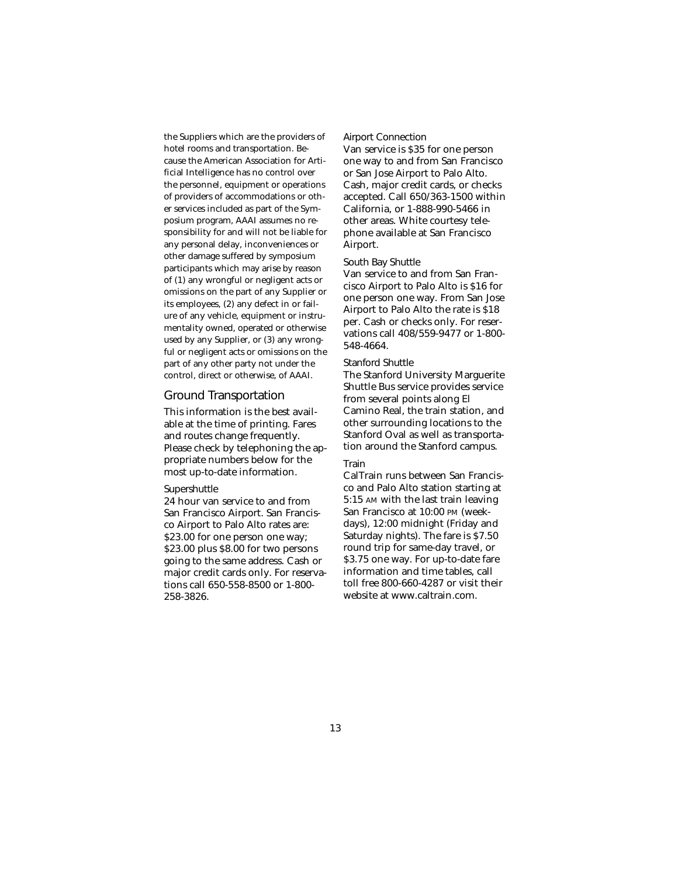the Suppliers which are the providers of hotel rooms and transportation. Because the American Association for Artificial Intelligence has no control over the personnel, equipment or operations of providers of accommodations or other services included as part of the Symposium program, AAAI assumes no responsibility for and will not be liable for any personal delay, inconveniences or other damage suffered by symposium participants which may arise by reason of (1) any wrongful or negligent acts or omissions on the part of any Supplier or its employees, (2) any defect in or failure of any vehicle, equipment or instrumentality owned, operated or otherwise used by any Supplier, or (3) any wrongful or negligent acts or omissions on the part of any other party not under the control, direct or otherwise, of AAAI.

### Ground Transportation

This information is the best available at the time of printing. Fares and routes change frequently. Please check by telephoning the appropriate numbers below for the most up-to-date information.

#### Supershuttle

24 hour van service to and from San Francisco Airport. San Francisco Airport to Palo Alto rates are: \$23.00 for one person one way; \$23.00 plus \$8.00 for two persons going to the same address. Cash or major credit cards only. For reservations call 650-558-8500 or 1-800- 258-3826.

#### Airport Connection

Van service is \$35 for one person one way to and from San Francisco or San Jose Airport to Palo Alto. Cash, major credit cards, or checks accepted. Call 650/363-1500 within California, or 1-888-990-5466 in other areas. White courtesy telephone available at San Francisco Airport.

### South Bay Shuttle

Van service to and from San Francisco Airport to Palo Alto is \$16 for one person one way. From San Jose Airport to Palo Alto the rate is \$18 per. Cash or checks only. For reservations call 408/559-9477 or 1-800- 548-4664.

### Stanford Shuttle

The Stanford University Marguerite Shuttle Bus service provides service from several points along El Camino Real, the train station, and other surrounding locations to the Stanford Oval as well as transportation around the Stanford campus.

### Train

CalTrain runs between San Francisco and Palo Alto station starting at 5:15 AM with the last train leaving San Francisco at 10:00 PM (weekdays), 12:00 midnight (Friday and Saturday nights). The fare is \$7.50 round trip for same-day travel, or \$3.75 one way. For up-to-date fare information and time tables, call toll free 800-660-4287 or visit their website at www.caltrain.com.